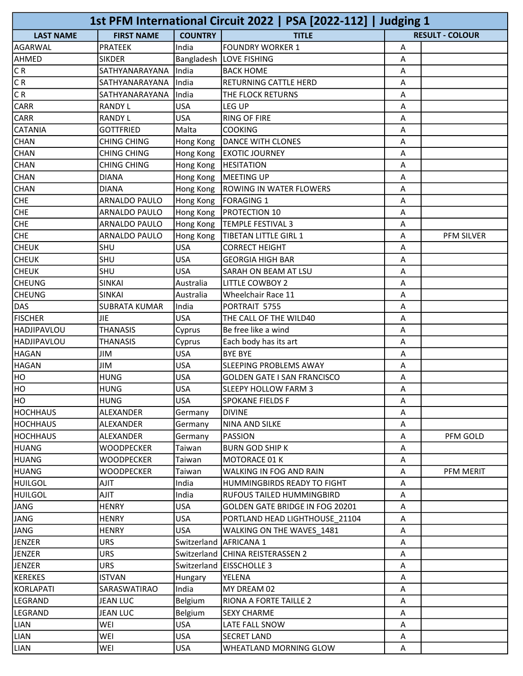| 1st PFM International Circuit 2022   PSA [2022-112]   Judging 1 |                      |                          |                                     |   |                        |
|-----------------------------------------------------------------|----------------------|--------------------------|-------------------------------------|---|------------------------|
| <b>LAST NAME</b>                                                | <b>FIRST NAME</b>    | <b>COUNTRY</b>           | <b>TITLE</b>                        |   | <b>RESULT - COLOUR</b> |
| AGARWAL                                                         | <b>PRATEEK</b>       | India                    | <b>FOUNDRY WORKER 1</b>             | А |                        |
| <b>AHMED</b>                                                    | <b>SIKDER</b>        |                          | Bangladesh   LOVE FISHING           | Α |                        |
| CR                                                              | SATHYANARAYANA       | India                    | <b>BACK HOME</b>                    | A |                        |
| CR                                                              | SATHYANARAYANA       | India                    | RETURNING CATTLE HERD               | Α |                        |
| $\overline{CR}$                                                 | SATHYANARAYANA       | India                    | THE FLOCK RETURNS                   | Α |                        |
| <b>CARR</b>                                                     | <b>RANDY L</b>       | <b>USA</b>               | LEG UP                              | A |                        |
| <b>CARR</b>                                                     | <b>RANDY L</b>       | <b>USA</b>               | <b>RING OF FIRE</b>                 | A |                        |
| <b>CATANIA</b>                                                  | <b>GOTTFRIED</b>     | Malta                    | <b>COOKING</b>                      | Α |                        |
| <b>CHAN</b>                                                     | <b>CHING CHING</b>   | Hong Kong                | <b>DANCE WITH CLONES</b>            | Α |                        |
| <b>CHAN</b>                                                     | <b>CHING CHING</b>   | Hong Kong                | <b>EXOTIC JOURNEY</b>               | Α |                        |
| <b>CHAN</b>                                                     | CHING CHING          | Hong Kong                | <b>HESITATION</b>                   | Α |                        |
| <b>CHAN</b>                                                     | <b>DIANA</b>         | Hong Kong                | <b>MEETING UP</b>                   | Α |                        |
| <b>CHAN</b>                                                     | <b>DIANA</b>         |                          | Hong Kong   ROWING IN WATER FLOWERS | Α |                        |
| <b>CHE</b>                                                      | ARNALDO PAULO        | Hong Kong                | <b>FORAGING 1</b>                   | A |                        |
| <b>CHE</b>                                                      | ARNALDO PAULO        | Hong Kong                | PROTECTION 10                       | Α |                        |
| <b>CHE</b>                                                      | ARNALDO PAULO        |                          | Hong Kong   TEMPLE FESTIVAL 3       | Α |                        |
| <b>CHE</b>                                                      | ARNALDO PAULO        | Hong Kong                | TIBETAN LITTLE GIRL 1               | A | <b>PFM SILVER</b>      |
| <b>CHEUK</b>                                                    | SHU                  | USA                      | <b>CORRECT HEIGHT</b>               | Α |                        |
| <b>CHEUK</b>                                                    | SHU                  | <b>USA</b>               | <b>GEORGIA HIGH BAR</b>             | Α |                        |
| снеик                                                           | SHU                  | USA                      | SARAH ON BEAM AT LSU                | A |                        |
| <b>CHEUNG</b>                                                   | <b>SINKAI</b>        | Australia                | <b>LITTLE COWBOY 2</b>              | Α |                        |
| <b>CHEUNG</b>                                                   | <b>SINKAI</b>        | Australia                | Wheelchair Race 11                  | A |                        |
| DAS                                                             | <b>SUBRATA KUMAR</b> | India                    | PORTRAIT 5755                       | A |                        |
| <b>FISCHER</b>                                                  | JIE                  | <b>USA</b>               | THE CALL OF THE WILD40              | Α |                        |
| HADJIPAVLOU                                                     | <b>THANASIS</b>      | Cyprus                   | Be free like a wind                 | Α |                        |
| HADJIPAVLOU                                                     | <b>THANASIS</b>      | Cyprus                   | Each body has its art               | Α |                        |
| <b>HAGAN</b>                                                    | <b>JIM</b>           | <b>USA</b>               | <b>BYE BYE</b>                      | A |                        |
| <b>HAGAN</b>                                                    | <b>JIM</b>           | USA                      | SLEEPING PROBLEMS AWAY              | Α |                        |
| HO                                                              | <b>HUNG</b>          | <b>USA</b>               | <b>GOLDEN GATE I SAN FRANCISCO</b>  | Α |                        |
| HO                                                              | <b>HUNG</b>          | <b>USA</b>               | <b>SLEEPY HOLLOW FARM 3</b>         | Α |                        |
| HO                                                              | <b>HUNG</b>          | <b>USA</b>               | <b>SPOKANE FIELDS F</b>             | Α |                        |
| <b>HOCHHAUS</b>                                                 | ALEXANDER            | Germany                  | <b>DIVINE</b>                       | A |                        |
| <b>HOCHHAUS</b>                                                 | ALEXANDER            | Germany                  | NINA AND SILKE                      | Α |                        |
| HOCHHAUS                                                        | ALEXANDER            | Germany                  | <b>PASSION</b>                      | Α | PFM GOLD               |
| HUANG                                                           | <b>WOODPECKER</b>    | Taiwan                   | <b>BURN GOD SHIP K</b>              | Α |                        |
| HUANG                                                           | <b>WOODPECKER</b>    | Taiwan                   | MOTORACE 01 K                       | Α |                        |
| HUANG                                                           | <b>WOODPECKER</b>    | Taiwan                   | WALKING IN FOG AND RAIN             | Α | PFM MERIT              |
| HUILGOL                                                         | TILA                 | India                    | HUMMINGBIRDS READY TO FIGHT         | Α |                        |
| <b>HUILGOL</b>                                                  | <b>AJIT</b>          | India                    | RUFOUS TAILED HUMMINGBIRD           | Α |                        |
| JANG                                                            | <b>HENRY</b>         | <b>USA</b>               | GOLDEN GATE BRIDGE IN FOG 20201     | Α |                        |
| JANG                                                            | HENRY                | <b>USA</b>               | PORTLAND HEAD LIGHTHOUSE 21104      | A |                        |
| JANG                                                            | HENRY                | <b>USA</b>               | WALKING ON THE WAVES 1481           | Α |                        |
| JENZER                                                          | <b>URS</b>           | Switzerland   AFRICANA 1 |                                     | A |                        |
| JENZER                                                          | <b>URS</b>           |                          | Switzerland CHINA REISTERASSEN 2    | Α |                        |
| JENZER                                                          | URS.                 |                          | Switzerland   EISSCHOLLE 3          | A |                        |
| KEREKES                                                         | <b>ISTVAN</b>        | Hungary                  | YELENA                              | A |                        |
| KORLAPATI                                                       | SARASWATIRAO         | India                    | MY DREAM 02                         | A |                        |
| LEGRAND                                                         | <b>JEAN LUC</b>      | Belgium                  | RIONA A FORTE TAILLE 2              | Α |                        |
| LEGRAND                                                         | <b>JEAN LUC</b>      | Belgium                  | <b>SEXY CHARME</b>                  | Α |                        |
| LIAN                                                            | WEI                  | <b>USA</b>               | LATE FALL SNOW                      | A |                        |
| LIAN                                                            | WEI                  | USA                      | <b>SECRET LAND</b>                  | Α |                        |
| LIAN                                                            | WEI                  | <b>USA</b>               | WHEATLAND MORNING GLOW              | A |                        |
|                                                                 |                      |                          |                                     |   |                        |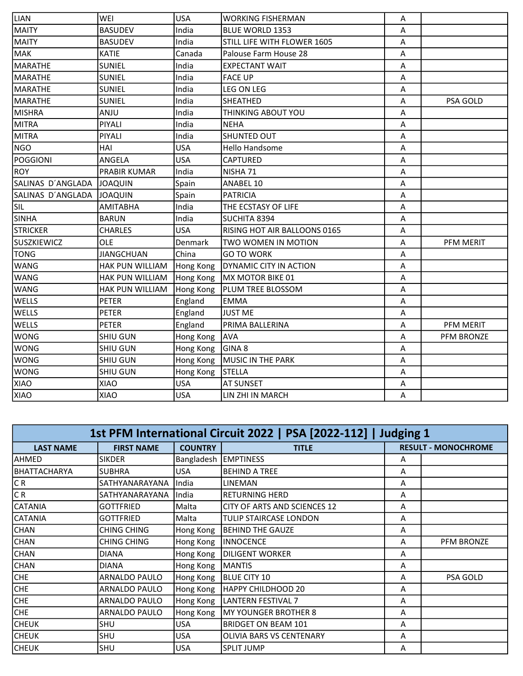| LIAN               | WEI               | <b>USA</b>     | <b>WORKING FISHERMAN</b>     | Α |                   |
|--------------------|-------------------|----------------|------------------------------|---|-------------------|
| MAITY              | <b>BASUDEV</b>    | India          | BLUE WORLD 1353              | A |                   |
| MAITY              | <b>BASUDEV</b>    | India          | STILL LIFE WITH FLOWER 1605  | A |                   |
| <b>MAK</b>         | <b>KATIE</b>      | Canada         | Palouse Farm House 28        | Α |                   |
| MARATHE            | <b>SUNIEL</b>     | India          | <b>EXPECTANT WAIT</b>        | Α |                   |
| MARATHE            | <b>SUNIEL</b>     | India          | <b>FACE UP</b>               | A |                   |
| MARATHE            | <b>SUNIEL</b>     | India          | <b>LEG ON LEG</b>            | A |                   |
| MARATHE            | <b>SUNIEL</b>     | India          | SHEATHED                     | Α | PSA GOLD          |
| MISHRA             | <b>ANJU</b>       | India          | THINKING ABOUT YOU           | A |                   |
| MITRA              | PIYALI            | India          | <b>NEHA</b>                  | A |                   |
| MITRA              | PIYALI            | India          | <b>SHUNTED OUT</b>           | A |                   |
| <b>NGO</b>         | HAI               | <b>USA</b>     | <b>Hello Handsome</b>        | A |                   |
| POGGIONI           | ANGELA            | <b>USA</b>     | <b>CAPTURED</b>              | Α |                   |
| ROY                | PRABIR KUMAR      | India          | NISHA 71                     | A |                   |
| SALINAS D'ANGLADA  | <b>JOAQUIN</b>    | Spain          | ANABEL 10                    | A |                   |
| SALINAS D'ANGLADA  | <b>JOAQUIN</b>    | Spain          | <b>PATRICIA</b>              | Α |                   |
| SIL                | <b>AMITABHA</b>   | India          | THE ECSTASY OF LIFE          | Α |                   |
| <b>SINHA</b>       | <b>BARUN</b>      | India          | SUCHITA 8394                 | A |                   |
| <b>STRICKER</b>    | <b>CHARLES</b>    | <b>USA</b>     | RISING HOT AIR BALLOONS 0165 | A |                   |
| <b>SUSZKIEWICZ</b> | OLE               | <b>Denmark</b> | TWO WOMEN IN MOTION          | Α | PFM MERIT         |
| TONG               | <b>JIANGCHUAN</b> | China          | <b>GO TO WORK</b>            | A |                   |
| <b>WANG</b>        | HAK PUN WILLIAM   | Hong Kong      | DYNAMIC CITY IN ACTION       | A |                   |
| WANG               | HAK PUN WILLIAM   | Hong Kong      | MX MOTOR BIKE 01             | A |                   |
| <b>WANG</b>        | HAK PUN WILLIAM   | Hong Kong      | PLUM TREE BLOSSOM            | A |                   |
| <b>WELLS</b>       | <b>PETER</b>      | England        | <b>EMMA</b>                  | A |                   |
| <b>WELLS</b>       | <b>PETER</b>      | England        | <b>JUST ME</b>               | A |                   |
| <b>WELLS</b>       | <b>PETER</b>      | England        | PRIMA BALLERINA              | A | PFM MERIT         |
| <b>WONG</b>        | <b>SHIU GUN</b>   | Hong Kong      | <b>AVA</b>                   | A | <b>PFM BRONZE</b> |
| <b>WONG</b>        | <b>SHIU GUN</b>   | Hong Kong      | GINA <sub>8</sub>            | A |                   |
| <b>WONG</b>        | <b>SHIU GUN</b>   | Hong Kong      | MUSIC IN THE PARK            | A |                   |
| <b>WONG</b>        | <b>SHIU GUN</b>   | Hong Kong      | STELLA                       | Α |                   |
| XIAO               | XIAO              | <b>USA</b>     | <b>AT SUNSET</b>             | Α |                   |
| XIAO               | XIAO              | <b>USA</b>     | LIN ZHI IN MARCH             | A |                   |
|                    |                   |                |                              |   |                   |

| 1st PFM International Circuit 2022   PSA [2022-112]   Judging 1 |                   |                |                              |   |                            |  |
|-----------------------------------------------------------------|-------------------|----------------|------------------------------|---|----------------------------|--|
| <b>LAST NAME</b>                                                | <b>FIRST NAME</b> | <b>COUNTRY</b> | <b>TITLE</b>                 |   | <b>RESULT - MONOCHROME</b> |  |
| lahmed                                                          | <b>SIKDER</b>     | Bangladesh     | <b>EMPTINESS</b>             | A |                            |  |
| IBHATTACHARYA                                                   | <b>SUBHRA</b>     | <b>USA</b>     | <b>BEHIND A TREE</b>         | A |                            |  |
| C R                                                             | SATHYANARAYANA    | India          | <b>LINEMAN</b>               | A |                            |  |
| CR.                                                             | SATHYANARAYANA    | India          | <b>RETURNING HERD</b>        | A |                            |  |
| <b>CATANIA</b>                                                  | <b>GOTTFRIED</b>  | Malta          | CITY OF ARTS AND SCIENCES 12 | A |                            |  |
| CATANIA                                                         | <b>GOTTFRIED</b>  | Malta          | TULIP STAIRCASE LONDON       | A |                            |  |
| <b>CHAN</b>                                                     | CHING CHING       | Hong Kong      | <b>BEHIND THE GAUZE</b>      | A |                            |  |
| CHAN                                                            | CHING CHING       | Hong Kong      | <b>INNOCENCE</b>             | A | <b>PFM BRONZE</b>          |  |
| <b>CHAN</b>                                                     | <b>DIANA</b>      | Hong Kong      | <b>DILIGENT WORKER</b>       | A |                            |  |
| <b>CHAN</b>                                                     | <b>DIANA</b>      | Hong Kong      | <b>MANTIS</b>                | A |                            |  |
| CHE                                                             | ARNALDO PAULO     | Hong Kong      | <b>BLUE CITY 10</b>          | A | PSA GOLD                   |  |
| CHE                                                             | ARNALDO PAULO     | Hong Kong      | <b>HAPPY CHILDHOOD 20</b>    | A |                            |  |
| CHE                                                             | ARNALDO PAULO     | Hong Kong      | <b>LANTERN FESTIVAL 7</b>    | A |                            |  |
| CHE                                                             | ARNALDO PAULO     | Hong Kong      | MY YOUNGER BROTHER 8         | A |                            |  |
| <b>CHEUK</b>                                                    | SHU               | USA            | <b>BRIDGET ON BEAM 101</b>   | A |                            |  |
| <b>CHEUK</b>                                                    | SHU               | <b>USA</b>     | OLIVIA BARS VS CENTENARY     | A |                            |  |
| <b>CHEUK</b>                                                    | SHU               | USA            | <b>SPLIT JUMP</b>            | A |                            |  |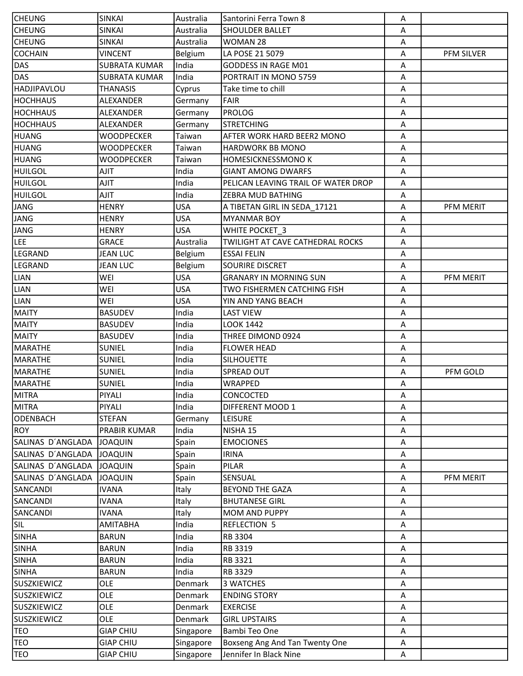| <b>CHEUNG</b>      | <b>SINKAI</b>        | Australia  | Santorini Ferra Town 8              | Α |            |
|--------------------|----------------------|------------|-------------------------------------|---|------------|
| <b>CHEUNG</b>      | <b>SINKAI</b>        | Australia  | <b>SHOULDER BALLET</b>              | А |            |
| <b>CHEUNG</b>      | <b>SINKAI</b>        | Australia  | WOMAN 28                            | Α |            |
| <b>COCHAIN</b>     | VINCENT              | Belgium    | LA POSE 21 5079                     | Α | PFM SILVER |
| DAS                | <b>SUBRATA KUMAR</b> | India      | GODDESS IN RAGE M01                 | Α |            |
| DAS                | <b>SUBRATA KUMAR</b> | India      | PORTRAIT IN MONO 5759               | A |            |
| HADJIPAVLOU        | THANASIS             | Cyprus     | Take time to chill                  | Α |            |
| <b>HOCHHAUS</b>    | <b>ALEXANDER</b>     | Germany    | FAIR                                | Α |            |
| <b>HOCHHAUS</b>    | ALEXANDER            | Germany    | PROLOG                              | A |            |
| <b>HOCHHAUS</b>    | ALEXANDER            | Germany    | <b>STRETCHING</b>                   | Α |            |
| HUANG              | WOODPECKER           | Taiwan     | AFTER WORK HARD BEER2 MONO          | Α |            |
| HUANG              | <b>WOODPECKER</b>    | Taiwan     | HARDWORK BB MONO                    | А |            |
| HUANG              | WOODPECKER           | Taiwan     | HOMESICKNESSMONO K                  | A |            |
| <b>HUILGOL</b>     | AJIT                 | India      | <b>GIANT AMONG DWARFS</b>           | Α |            |
| <b>HUILGOL</b>     | AJIT                 | India      | PELICAN LEAVING TRAIL OF WATER DROP | Α |            |
| <b>HUILGOL</b>     | <b>AJIT</b>          | India      | ZEBRA MUD BATHING                   | Α |            |
| JANG               | <b>HENRY</b>         | <b>USA</b> | A TIBETAN GIRL IN SEDA 17121        | A | PFM MERIT  |
| JANG               | <b>HENRY</b>         | <b>USA</b> | <b>MYANMAR BOY</b>                  | Α |            |
| JANG               | <b>HENRY</b>         | <b>USA</b> | WHITE POCKET 3                      | A |            |
| LEE                | <b>GRACE</b>         | Australia  | TWILIGHT AT CAVE CATHEDRAL ROCKS    | Α |            |
| LEGRAND            | JEAN LUC             | Belgium    | <b>ESSAI FELIN</b>                  | Α |            |
| LEGRAND            | <b>JEAN LUC</b>      | Belgium    | SOURIRE DISCRET                     | Α |            |
| <b>LIAN</b>        | WEI                  | <b>USA</b> | <b>GRANARY IN MORNING SUN</b>       | A | PFM MERIT  |
| <b>LIAN</b>        | WEI                  | <b>USA</b> | TWO FISHERMEN CATCHING FISH         | Α |            |
| LIAN               | WEI                  | <b>USA</b> | YIN AND YANG BEACH                  | Α |            |
| MAITY              | <b>BASUDEV</b>       | India      | <b>LAST VIEW</b>                    | A |            |
| MAITY              | <b>BASUDEV</b>       | India      | <b>LOOK 1442</b>                    | A |            |
| MAITY              | <b>BASUDEV</b>       | India      | THREE DIMOND 0924                   | Α |            |
| MARATHE            | <b>SUNIEL</b>        | India      | <b>FLOWER HEAD</b>                  | A |            |
| MARATHE            | SUNIEL               | India      | <b>SILHOUETTE</b>                   | Α |            |
| MARATHE            | SUNIEL               | India      | SPREAD OUT                          | Α | PFM GOLD   |
| MARATHE            | <b>SUNIEL</b>        | India      | <b>WRAPPED</b>                      | A |            |
| MITRA              | PIYALI               | India      | CONCOCTED                           | A |            |
| MITRA              | PIYALI               | India      | DIFFERENT MOOD 1                    | А |            |
| ODENBACH           | <b>STEFAN</b>        | Germany    | <b>LEISURE</b>                      | Α |            |
| <b>ROY</b>         | PRABIR KUMAR         | India      | NISHA 15                            | A |            |
| SALINAS D'ANGLADA  | <b>JOAQUIN</b>       | Spain      | <b>EMOCIONES</b>                    | A |            |
| SALINAS D'ANGLADA  | <b>JOAQUIN</b>       | Spain      | <b>IRINA</b>                        | A |            |
| SALINAS D'ANGLADA  | <b>JOAQUIN</b>       | Spain      | PILAR                               | A |            |
| SALINAS D'ANGLADA  | <b>JOAQUIN</b>       | Spain      | SENSUAL                             | Α | PFM MERIT  |
| SANCANDI           | <b>IVANA</b>         | Italy      | <b>BEYOND THE GAZA</b>              | A |            |
| SANCANDI           | <b>IVANA</b>         | Italy      | <b>BHUTANESE GIRL</b>               | Α |            |
| SANCANDI           | <b>IVANA</b>         | Italy      | MOM AND PUPPY                       | A |            |
| <b>SIL</b>         | AMITABHA             | India      | <b>REFLECTION 5</b>                 | Α |            |
| <b>SINHA</b>       | <b>BARUN</b>         | India      | RB 3304                             | Α |            |
| <b>SINHA</b>       | <b>BARUN</b>         | India      | RB 3319                             | A |            |
| <b>SINHA</b>       | <b>BARUN</b>         | India      |                                     |   |            |
|                    |                      |            | RB 3321                             | А |            |
| <b>SINHA</b>       | <b>BARUN</b>         | India      | RB 3329                             | Α |            |
| <b>SUSZKIEWICZ</b> | OLE<br>OLE           | Denmark    | 3 WATCHES                           | A |            |
| <b>SUSZKIEWICZ</b> |                      | Denmark    | <b>ENDING STORY</b>                 | Α |            |
| <b>SUSZKIEWICZ</b> | OLE                  | Denmark    | <b>EXERCISE</b>                     | A |            |
| <b>SUSZKIEWICZ</b> | OLE                  | Denmark    | <b>GIRL UPSTAIRS</b>                | А |            |
| TEO                | <b>GIAP CHIU</b>     | Singapore  | Bambi Teo One                       | A |            |
| TEO                | <b>GIAP CHIU</b>     | Singapore  | Boxseng Ang And Tan Twenty One      | A |            |
| <b>TEO</b>         | <b>GIAP CHIU</b>     | Singapore  | Jennifer In Black Nine              | A |            |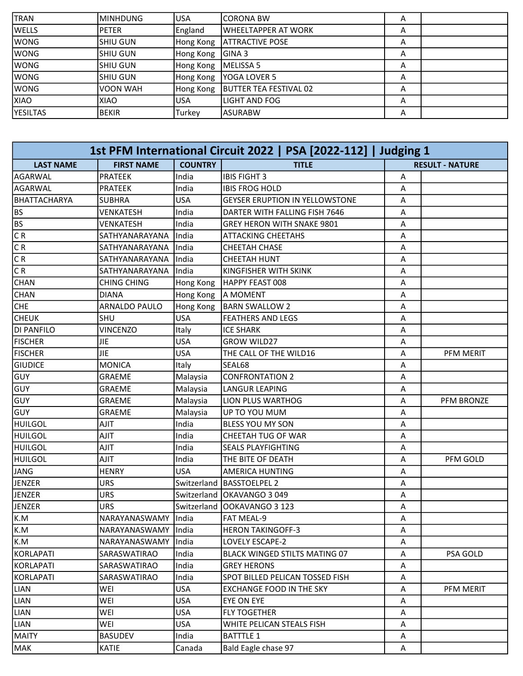| TRAN      | IMINHDUNG    | <b>USA</b> | ICORONA BW             | А |  |
|-----------|--------------|------------|------------------------|---|--|
| lwells    | <b>PETER</b> | England    | IWHEELTAPPER AT WORK   | A |  |
| lwong     | lshiu gun    | Hong Kong  | IATTRACTIVE POSE       | Α |  |
| lwong     | lshiu gun    | Hong Kong  | <b>GINA 3</b>          | Α |  |
| lwong     | lshiu gun    | Hong Kong  | <b>IMELISSA 5</b>      | Α |  |
| lwong     | lshiu gun    | Hong Kong  | IYOGA LOVER 5          | Α |  |
| lwong     | IVOON WAH    | Hong Kong  | BUTTER TEA FESTIVAL 02 | А |  |
| IXIAO     | XIAO         | USA        | lLIGHT AND FOG         | А |  |
| lyesiltas | IBEKIR       | Turkey     | IASURABW               | А |  |
|           |              |            |                        |   |  |

|                     |                     |                | 1st PFM International Circuit 2022   PSA [2022-112]   Judging 1 |   |                        |
|---------------------|---------------------|----------------|-----------------------------------------------------------------|---|------------------------|
| <b>LAST NAME</b>    | <b>FIRST NAME</b>   | <b>COUNTRY</b> | <b>TITLE</b>                                                    |   | <b>RESULT - NATURE</b> |
| AGARWAL             | <b>PRATEEK</b>      | India          | <b>IBIS FIGHT 3</b>                                             | Α |                        |
| AGARWAL             | <b>PRATEEK</b>      | India          | <b>IBIS FROG HOLD</b>                                           | A |                        |
| <b>BHATTACHARYA</b> | <b>SUBHRA</b>       | <b>USA</b>     | <b>GEYSER ERUPTION IN YELLOWSTONE</b>                           | Α |                        |
| BS.                 | <b>VENKATESH</b>    | India          | DARTER WITH FALLING FISH 7646                                   | Α |                        |
| BS                  | <b>VENKATESH</b>    | India          | GREY HERON WITH SNAKE 9801                                      | A |                        |
| CR                  | SATHYANARAYANA      | India          | <b>ATTACKING CHEETAHS</b>                                       | Α |                        |
| CR                  | SATHYANARAYANA      | India          | CHEETAH CHASE                                                   | Α |                        |
| $\overline{CR}$     | SATHYANARAYANA      | India          | <b>CHEETAH HUNT</b>                                             | Α |                        |
| C R                 | SATHYANARAYANA      | India          | KINGFISHER WITH SKINK                                           | A |                        |
| <b>CHAN</b>         | CHING CHING         | Hong Kong      | HAPPY FEAST 008                                                 | Α |                        |
| <b>CHAN</b>         | <b>DIANA</b>        | Hong Kong      | A MOMENT                                                        | Α |                        |
| <b>CHE</b>          | ARNALDO PAULO       | Hong Kong      | <b>BARN SWALLOW 2</b>                                           | A |                        |
| <b> </b> СНЕUК      | SHU                 | <b>USA</b>     | <b>FEATHERS AND LEGS</b>                                        | Α |                        |
| DI PANFILO          | <b>VINCENZO</b>     | Italy          | <b>ICE SHARK</b>                                                | Α |                        |
| <b>FISCHER</b>      | <b>JIE</b>          | <b>USA</b>     | <b>GROW WILD27</b>                                              | A |                        |
| <b>FISCHER</b>      | <b>JIE</b>          | <b>USA</b>     | THE CALL OF THE WILD16                                          | A | PFM MERIT              |
| <b>GIUDICE</b>      | <b>MONICA</b>       | Italy          | SEAL68                                                          | Α |                        |
| GUY                 | <b>GRAEME</b>       | Malaysia       | <b>CONFRONTATION 2</b>                                          | Α |                        |
| <b>GUY</b>          | <b>GRAEME</b>       | Malaysia       | <b>LANGUR LEAPING</b>                                           | Α |                        |
| GUY                 | GRAEME              | Malaysia       | LION PLUS WARTHOG                                               | Α | PFM BRONZE             |
| lGUY                | <b>GRAEME</b>       | Malaysia       | UP TO YOU MUM                                                   | Α |                        |
| <b>HUILGOL</b>      | <b>AJIT</b>         | India          | BLESS YOU MY SON                                                | Α |                        |
| HUILGOL             | AJIT                | India          | CHEETAH TUG OF WAR                                              | Α |                        |
| <b>HUILGOL</b>      | <b>TILA</b>         | India          | <b>SEALS PLAYFIGHTING</b>                                       | Α |                        |
| <b>HUILGOL</b>      | <b>AJIT</b>         | India          | THE BITE OF DEATH                                               | A | PFM GOLD               |
| JANG                | <b>HENRY</b>        | <b>USA</b>     | AMERICA HUNTING                                                 | Α |                        |
| JENZER              | URS                 | Switzerland    | <b>BASSTOELPEL 2</b>                                            | Α |                        |
| JENZER              | <b>URS</b>          |                | Switzerland   OKAVANGO 3 049                                    | Α |                        |
| JENZER              | <b>URS</b>          |                | Switzerland   OOKAVANGO 3 123                                   | A |                        |
| k.M                 | NARAYANASWAMY       | lIndia         | FAT MEAL-9                                                      | Α |                        |
| K.M                 | NARAYANASWAMY India |                | <b>HERON TAKINGOFF-3</b>                                        | Α |                        |
| K.M                 | NARAYANASWAMY       | India          | LOVELY ESCAPE-2                                                 | A |                        |
| KORLAPATI           | SARASWATIRAO        | India          | <b>BLACK WINGED STILTS MATING 07</b>                            | Α | PSA GOLD               |
| KORLAPATI           | SARASWATIRAO        | India          | <b>GREY HERONS</b>                                              | Α |                        |
| KORLAPATI           | SARASWATIRAO        | India          | SPOT BILLED PELICAN TOSSED FISH                                 | Α |                        |
| LIAN                | WEI                 | USA            | <b>EXCHANGE FOOD IN THE SKY</b>                                 | Α | PFM MERIT              |
| LIAN                | WEI                 | USA            | EYE ON EYE                                                      | Α |                        |
| LIAN                | WEI                 | <b>USA</b>     | <b>FLY TOGETHER</b>                                             | Α |                        |
| LIAN                | WEI                 | <b>USA</b>     | WHITE PELICAN STEALS FISH                                       | Α |                        |
| <b>MAITY</b>        | <b>BASUDEV</b>      | India          | <b>BATTTLE 1</b>                                                | Α |                        |
| MAK                 | <b>KATIE</b>        | Canada         | Bald Eagle chase 97                                             | Α |                        |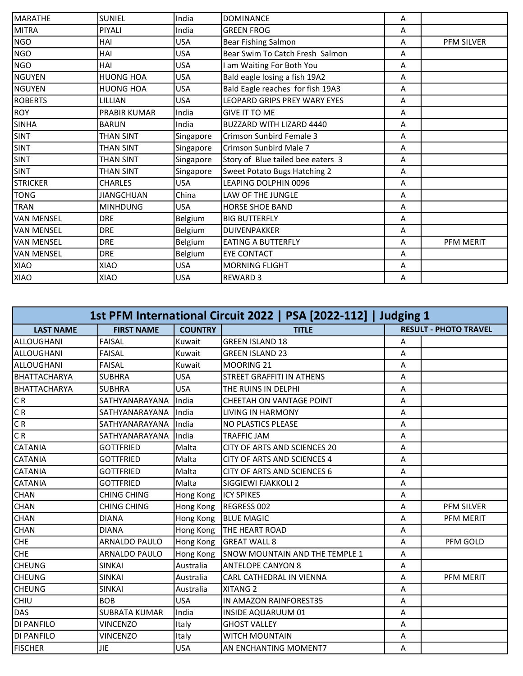| MARATHE         | <b>SUNIEL</b>     | India      | <b>DOMINANCE</b>                  | A |                   |
|-----------------|-------------------|------------|-----------------------------------|---|-------------------|
| <b>MITRA</b>    | PIYALI            | India      | <b>GREEN FROG</b>                 | A |                   |
| NGO             | HAI               | <b>USA</b> | <b>Bear Fishing Salmon</b>        | A | <b>PFM SILVER</b> |
| NGO             | HAI               | <b>USA</b> | Bear Swim To Catch Fresh Salmon   | А |                   |
| NGO             | HAI               | <b>USA</b> | am Waiting For Both You           | A |                   |
| NGUYEN          | <b>HUONG HOA</b>  | <b>USA</b> | Bald eagle losing a fish 19A2     | A |                   |
| NGUYEN          | <b>HUONG HOA</b>  | USA        | Bald Eagle reaches for fish 19A3  | A |                   |
| <b>ROBERTS</b>  | LILLIAN           | USA        | LEOPARD GRIPS PREY WARY EYES      | A |                   |
| ROY             | PRABIR KUMAR      | India      | <b>GIVE IT TO ME</b>              | A |                   |
| <b>SINHA</b>    | <b>BARUN</b>      | India      | BUZZARD WITH LIZARD 4440          | A |                   |
| <b>SINT</b>     | <b>THAN SINT</b>  | Singapore  | Crimson Sunbird Female 3          | A |                   |
| <b>SINT</b>     | <b>THAN SINT</b>  | Singapore  | Crimson Sunbird Male 7            | A |                   |
| <b>SINT</b>     | THAN SINT         | Singapore  | Story of Blue tailed bee eaters 3 | A |                   |
| <b>SINT</b>     | <b>THAN SINT</b>  | Singapore  | Sweet Potato Bugs Hatching 2      | A |                   |
| <b>STRICKER</b> | <b>CHARLES</b>    | USA        | LEAPING DOLPHIN 0096              | A |                   |
| TONG            | <b>JIANGCHUAN</b> | China      | LAW OF THE JUNGLE                 | A |                   |
| <b>TRAN</b>     | <b>MINHDUNG</b>   | <b>USA</b> | <b>HORSE SHOE BAND</b>            | A |                   |
| VAN MENSEL      | <b>DRE</b>        | Belgium    | <b>BIG BUTTERFLY</b>              | A |                   |
| VAN MENSEL      | <b>DRE</b>        | Belgium    | DUIVENPAKKER                      | A |                   |
| VAN MENSEL      | <b>DRE</b>        | Belgium    | <b>EATING A BUTTERFLY</b>         | A | PFM MERIT         |
| VAN MENSEL      | <b>DRE</b>        | Belgium    | <b>EYE CONTACT</b>                | A |                   |
| XIAO            | <b>XIAO</b>       | <b>USA</b> | <b>MORNING FLIGHT</b>             | A |                   |
| XIAO            | XIAO              | <b>USA</b> | <b>REWARD 3</b>                   | A |                   |

| 1st PFM International Circuit 2022   PSA [2022-112]   Judging 1 |                      |                |                                    |   |                              |  |
|-----------------------------------------------------------------|----------------------|----------------|------------------------------------|---|------------------------------|--|
| <b>LAST NAME</b>                                                | <b>FIRST NAME</b>    | <b>COUNTRY</b> | <b>TITLE</b>                       |   | <b>RESULT - PHOTO TRAVEL</b> |  |
| ALLOUGHANI                                                      | <b>FAISAL</b>        | Kuwait         | <b>GREEN ISLAND 18</b>             | A |                              |  |
| ALLOUGHANI                                                      | <b>FAISAL</b>        | Kuwait         | <b>GREEN ISLAND 23</b>             | A |                              |  |
| ALLOUGHANI                                                      | <b>FAISAL</b>        | Kuwait         | MOORING 21                         | A |                              |  |
| IBHATTACHARYA                                                   | <b>SUBHRA</b>        | <b>USA</b>     | STREET GRAFFITI IN ATHENS          | Α |                              |  |
| <b>BHATTACHARYA</b>                                             | <b>SUBHRA</b>        | <b>USA</b>     | THE RUINS IN DELPHI                | A |                              |  |
| CR                                                              | SATHYANARAYANA       | India          | <b>CHEETAH ON VANTAGE POINT</b>    | A |                              |  |
| C R                                                             | SATHYANARAYANA       | India          | <b>LIVING IN HARMONY</b>           | A |                              |  |
| C R                                                             | SATHYANARAYANA       | India          | NO PLASTICS PLEASE                 | Α |                              |  |
| CR                                                              | SATHYANARAYANA       | India          | <b>TRAFFIC JAM</b>                 | A |                              |  |
| CATANIA                                                         | <b>GOTTFRIED</b>     | Malta          | CITY OF ARTS AND SCIENCES 20       | A |                              |  |
| <b>CATANIA</b>                                                  | <b>GOTTFRIED</b>     | Malta          | <b>CITY OF ARTS AND SCIENCES 4</b> | A |                              |  |
| <b>CATANIA</b>                                                  | <b>GOTTFRIED</b>     | Malta          | CITY OF ARTS AND SCIENCES 6        | Α |                              |  |
| <b>CATANIA</b>                                                  | <b>GOTTFRIED</b>     | Malta          | SIGGIEWI FJAKKOLI 2                | Α |                              |  |
| <b>CHAN</b>                                                     | <b>CHING CHING</b>   | Hong Kong      | <b>ICY SPIKES</b>                  | A |                              |  |
| <b>CHAN</b>                                                     | <b>CHING CHING</b>   | Hong Kong      | REGRESS 002                        | A | PFM SILVER                   |  |
| <b>CHAN</b>                                                     | <b>DIANA</b>         | Hong Kong      | <b>BLUE MAGIC</b>                  | A | PFM MERIT                    |  |
| <b>CHAN</b>                                                     | <b>DIANA</b>         | Hong Kong      | <b>THE HEART ROAD</b>              | Α |                              |  |
| <b>CHE</b>                                                      | ARNALDO PAULO        | Hong Kong      | <b>GREAT WALL 8</b>                | A | PFM GOLD                     |  |
| CHE                                                             | <b>ARNALDO PAULO</b> | Hong Kong      | SNOW MOUNTAIN AND THE TEMPLE 1     | A |                              |  |
| <b>CHEUNG</b>                                                   | <b>SINKAI</b>        | Australia      | <b>ANTELOPE CANYON 8</b>           | Α |                              |  |
| <b>CHEUNG</b>                                                   | <b>SINKAI</b>        | Australia      | CARL CATHEDRAL IN VIENNA           | Α | PFM MERIT                    |  |
| <b>CHEUNG</b>                                                   | <b>SINKAI</b>        | Australia      | XITANG <sub>2</sub>                | Α |                              |  |
| CHIU                                                            | <b>BOB</b>           | <b>USA</b>     | IN AMAZON RAINFOREST35             | Α |                              |  |
| DAS                                                             | <b>SUBRATA KUMAR</b> | India          | <b>INSIDE AQUARUUM 01</b>          | Α |                              |  |
| DI PANFILO                                                      | <b>VINCENZO</b>      | Italy          | <b>GHOST VALLEY</b>                | Α |                              |  |
| <b>DI PANFILO</b>                                               | <b>VINCENZO</b>      | Italy          | <b>WITCH MOUNTAIN</b>              | Α |                              |  |
| <b>FISCHER</b>                                                  | <b>JIE</b>           | <b>USA</b>     | AN ENCHANTING MOMENT7              | A |                              |  |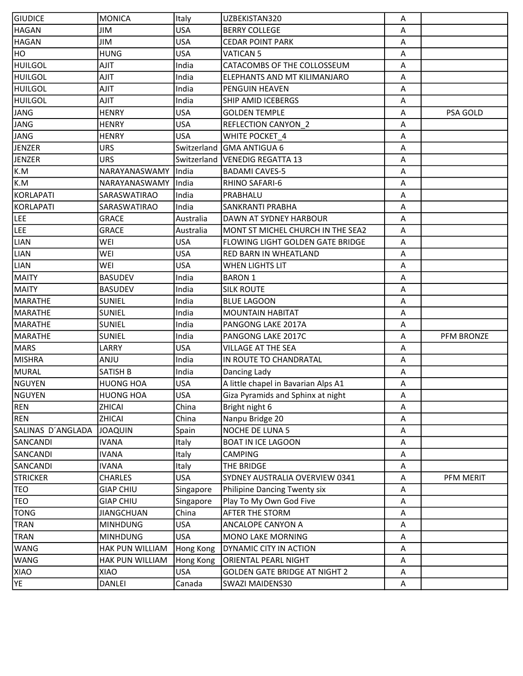| <b>GIUDICE</b>    | <b>MONICA</b>     | Italy       | UZBEKISTAN320                        | Α                         |                   |
|-------------------|-------------------|-------------|--------------------------------------|---------------------------|-------------------|
| <b>HAGAN</b>      | JIM               | <b>USA</b>  | <b>BERRY COLLEGE</b>                 | A                         |                   |
| HAGAN             | <b>JIM</b>        | <b>USA</b>  | <b>CEDAR POINT PARK</b>              | A                         |                   |
| HO                | <b>HUNG</b>       | <b>USA</b>  | <b>VATICAN 5</b>                     | A                         |                   |
| <b>HUILGOL</b>    | AJIT              | India       | CATACOMBS OF THE COLLOSSEUM          | Α                         |                   |
| <b>HUILGOL</b>    | <b>AJIT</b>       | India       | ELEPHANTS AND MT KILIMANJARO         | A                         |                   |
| <b>HUILGOL</b>    | <b>AJIT</b>       | India       | PENGUIN HEAVEN                       | Α                         |                   |
| <b>HUILGOL</b>    | AJIT              | India       | SHIP AMID ICEBERGS                   | Α                         |                   |
| JANG              | <b>HENRY</b>      | <b>USA</b>  | <b>GOLDEN TEMPLE</b>                 | Α                         | PSA GOLD          |
| <b>JANG</b>       | <b>HENRY</b>      | <b>USA</b>  | <b>REFLECTION CANYON_2</b>           | A                         |                   |
| JANG              | <b>HENRY</b>      | <b>USA</b>  | WHITE POCKET_4                       | A                         |                   |
| JENZER            | <b>URS</b>        | Switzerland | <b>GMA ANTIGUA 6</b>                 | A                         |                   |
| JENZER            | <b>URS</b>        |             | Switzerland   VENEDIG REGATTA 13     | A                         |                   |
| K.M               | NARAYANASWAMY     | India       | <b>BADAMI CAVES-5</b>                | A                         |                   |
| K.M               | NARAYANASWAMY     | India       | RHINO SAFARI-6                       | A                         |                   |
| KORLAPATI         | SARASWATIRAO      | India       | PRABHALU                             | Α                         |                   |
| KORLAPATI         | SARASWATIRAO      | India       | <b>SANKRANTI PRABHA</b>              | A                         |                   |
| LEE               | <b>GRACE</b>      | Australia   | DAWN AT SYDNEY HARBOUR               | A                         |                   |
| LEE               | <b>GRACE</b>      | Australia   | MONT ST MICHEL CHURCH IN THE SEA2    | Α                         |                   |
| LIAN              | WEI               | <b>USA</b>  | FLOWING LIGHT GOLDEN GATE BRIDGE     | A                         |                   |
| LIAN              | WEI               | <b>USA</b>  | <b>RED BARN IN WHEATLAND</b>         | A                         |                   |
| LIAN              | WEI               | <b>USA</b>  | <b>WHEN LIGHTS LIT</b>               | A                         |                   |
| <b>MAITY</b>      | <b>BASUDEV</b>    | India       | <b>BARON 1</b>                       | A                         |                   |
| MAITY             | <b>BASUDEV</b>    | India       | <b>SILK ROUTE</b>                    | A                         |                   |
| MARATHE           | SUNIEL            | India       | <b>BLUE LAGOON</b>                   | A                         |                   |
| MARATHE           | <b>SUNIEL</b>     | India       | <b>MOUNTAIN HABITAT</b>              | Α                         |                   |
| MARATHE           | <b>SUNIEL</b>     | India       | PANGONG LAKE 2017A                   | $\boldsymbol{\mathsf{A}}$ |                   |
| MARATHE           | <b>SUNIEL</b>     | India       | PANGONG LAKE 2017C                   | A                         | <b>PFM BRONZE</b> |
| MARS              | LARRY             | USA         | <b>VILLAGE AT THE SEA</b>            | Α                         |                   |
| MISHRA            | <b>ULIA</b>       | India       | IN ROUTE TO CHANDRATAL               | A                         |                   |
| MURAL             | <b>SATISH B</b>   | India       | Dancing Lady                         | A                         |                   |
| NGUYEN            | <b>HUONG HOA</b>  | <b>USA</b>  | A little chapel in Bavarian Alps A1  | A                         |                   |
| NGUYEN            | <b>HUONG HOA</b>  | <b>USA</b>  | Giza Pyramids and Sphinx at night    | А                         |                   |
| REN               | ZHICAI            | China       | Bright night 6                       | A                         |                   |
| REN               | ZHICAI            | China       | Nanpu Bridge 20                      | Α                         |                   |
| SALINAS D'ANGLADA | <b>JOAQUIN</b>    | Spain       | NOCHE DE LUNA 5                      | A                         |                   |
| SANCANDI          | <b>IVANA</b>      | Italy       | <b>BOAT IN ICE LAGOON</b>            | A                         |                   |
| SANCANDI          | <b>IVANA</b>      | Italy       | <b>CAMPING</b>                       | Α                         |                   |
| SANCANDI          | <b>IVANA</b>      | Italy       | THE BRIDGE                           | Α                         |                   |
| <b>STRICKER</b>   | <b>CHARLES</b>    | USA         | SYDNEY AUSTRALIA OVERVIEW 0341       | Α                         | PFM MERIT         |
| <b>TEO</b>        | <b>GIAP CHIU</b>  | Singapore   | Philipine Dancing Twenty six         | A                         |                   |
| <b>TEO</b>        | <b>GIAP CHIU</b>  | Singapore   | Play To My Own God Five              | A                         |                   |
| TONG              | <b>JIANGCHUAN</b> | China       | AFTER THE STORM                      | A                         |                   |
| TRAN              | <b>MINHDUNG</b>   | <b>USA</b>  | ANCALOPE CANYON A                    | Α                         |                   |
| TRAN              | <b>MINHDUNG</b>   | <b>USA</b>  | MONO LAKE MORNING                    | Α                         |                   |
| <b>WANG</b>       | HAK PUN WILLIAM   | Hong Kong   | <b>DYNAMIC CITY IN ACTION</b>        | A                         |                   |
| WANG              | HAK PUN WILLIAM   | Hong Kong   | <b>ORIENTAL PEARL NIGHT</b>          | A                         |                   |
| XIAO              | <b>XIAO</b>       | <b>USA</b>  | <b>GOLDEN GATE BRIDGE AT NIGHT 2</b> | A                         |                   |
| YE.               | DANLEI            | Canada      | SWAZI MAIDENS30                      | A                         |                   |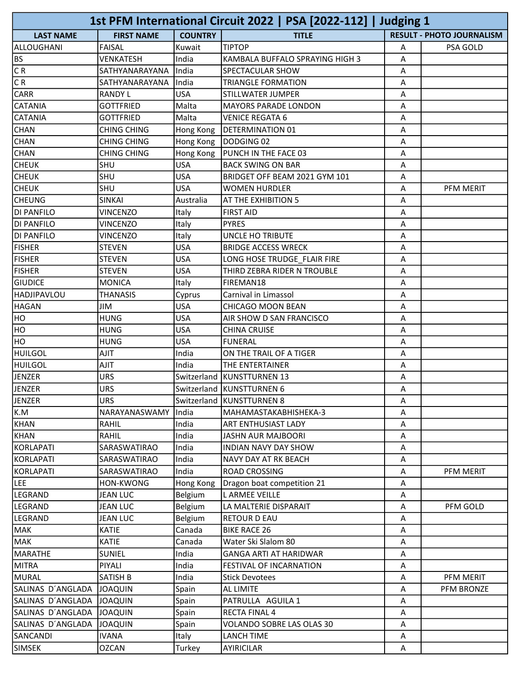|                   |                    |                | 1st PFM International Circuit 2022   PSA [2022-112]   Judging 1 |   |                                  |
|-------------------|--------------------|----------------|-----------------------------------------------------------------|---|----------------------------------|
| <b>LAST NAME</b>  | <b>FIRST NAME</b>  | <b>COUNTRY</b> | <b>TITLE</b>                                                    |   | <b>RESULT - PHOTO JOURNALISM</b> |
| ALLOUGHANI        | <b>FAISAL</b>      | Kuwait         | <b>TIPTOP</b>                                                   | А | PSA GOLD                         |
| l BS              | <b>VENKATESH</b>   | India          | KAMBALA BUFFALO SPRAYING HIGH 3                                 | A |                                  |
| CR                | SATHYANARAYANA     | India          | SPECTACULAR SHOW                                                | А |                                  |
| $\overline{CR}$   | SATHYANARAYANA     | India          | <b>TRIANGLE FORMATION</b>                                       | А |                                  |
| CARR              | <b>RANDY L</b>     | <b>USA</b>     | STILLWATER JUMPER                                               | Α |                                  |
| CATANIA           | <b>GOTTFRIED</b>   | Malta          | <b>MAYORS PARADE LONDON</b>                                     | A |                                  |
| <b>CATANIA</b>    | <b>GOTTFRIED</b>   | Malta          | <b>VENICE REGATA 6</b>                                          | A |                                  |
| <b>CHAN</b>       | <b>CHING CHING</b> | Hong Kong      | <b>DETERMINATION 01</b>                                         | А |                                  |
| <b>CHAN</b>       | <b>CHING CHING</b> | Hong Kong      | DODGING 02                                                      | Α |                                  |
| CHAN              | CHING CHING        | Hong Kong      | PUNCH IN THE FACE 03                                            | A |                                  |
| <b>CHEUK</b>      | SHU                | <b>USA</b>     | <b>BACK SWING ON BAR</b>                                        | А |                                  |
| <b>CHEUK</b>      | SHU                | <b>USA</b>     | BRIDGET OFF BEAM 2021 GYM 101                                   | Α |                                  |
| <b>CHEUK</b>      | SHU                | <b>USA</b>     | <b>WOMEN HURDLER</b>                                            | A | PFM MERIT                        |
| <b>CHEUNG</b>     | <b>SINKAI</b>      | Australia      | AT THE EXHIBITION 5                                             | А |                                  |
| DI PANFILO        | <b>VINCENZO</b>    | Italy          | <b>FIRST AID</b>                                                | А |                                  |
| DI PANFILO        | <b>VINCENZO</b>    | Italy          | <b>PYRES</b>                                                    | A |                                  |
| <b>DI PANFILO</b> | <b>VINCENZO</b>    | Italy          | UNCLE HO TRIBUTE                                                | A |                                  |
| <b>FISHER</b>     | <b>STEVEN</b>      | <b>USA</b>     | <b>BRIDGE ACCESS WRECK</b>                                      | A |                                  |
| <b>FISHER</b>     | <b>STEVEN</b>      | <b>USA</b>     | LONG HOSE TRUDGE FLAIR FIRE                                     | A |                                  |
| <b>FISHER</b>     | <b>STEVEN</b>      | <b>USA</b>     | THIRD ZEBRA RIDER N TROUBLE                                     | Α |                                  |
| <b>GIUDICE</b>    | <b>MONICA</b>      | Italy          | FIREMAN18                                                       | А |                                  |
| HADJIPAVLOU       | <b>THANASIS</b>    | Cyprus         | Carnival in Limassol                                            | Α |                                  |
| <b>HAGAN</b>      | <b>JIM</b>         | <b>USA</b>     | CHICAGO MOON BEAN                                               | A |                                  |
| H <sub>O</sub>    | <b>HUNG</b>        | <b>USA</b>     | AIR SHOW D SAN FRANCISCO                                        | А |                                  |
| HO                | <b>HUNG</b>        | <b>USA</b>     | <b>CHINA CRUISE</b>                                             | Α |                                  |
| Іно               | <b>HUNG</b>        | <b>USA</b>     | <b>FUNERAL</b>                                                  | A |                                  |
| <b>HUILGOL</b>    | AJIT               | India          | ON THE TRAIL OF A TIGER                                         | Α |                                  |
| <b>HUILGOL</b>    | <b>AJIT</b>        | India          | THE ENTERTAINER                                                 | A |                                  |
| <b>JENZER</b>     | <b>URS</b>         |                | Switzerland   KUNSTTURNEN 13                                    | Α |                                  |
| JENZER            | <b>URS</b>         |                | Switzerland KUNSTTURNEN 6                                       | A |                                  |
| JENZER            | <b>URS</b>         |                | Switzerland KUNSTTURNEN 8                                       | Α |                                  |
| K.M               | NARAYANASWAMY      | India          | MAHAMASTAKABHISHEKA-3                                           | Α |                                  |
| KHAN              | RAHIL              | India          | ART ENTHUSIAST LADY                                             | Α |                                  |
| KHAN              | RAHIL              | India          | <b>JASHN AUR MAJBOORI</b>                                       | Α |                                  |
| KORLAPATI         | SARASWATIRAO       | India          | INDIAN NAVY DAY SHOW                                            | Α |                                  |
| KORLAPATI         | SARASWATIRAO       | India          | NAVY DAY AT RK BEACH                                            | Α |                                  |
| KORLAPATI         | SARASWATIRAO       | India          | <b>ROAD CROSSING</b>                                            | А | PFM MERIT                        |
| LEE               | HON-KWONG          | Hong Kong      | Dragon boat competition 21                                      | Α |                                  |
| LEGRAND           | <b>JEAN LUC</b>    | Belgium        | L ARMEE VEILLE                                                  | A |                                  |
| LEGRAND           | <b>JEAN LUC</b>    | Belgium        | LA MALTERIE DISPARAIT                                           | Α | PFM GOLD                         |
| LEGRAND           | JEAN LUC           | Belgium        | RETOUR D EAU                                                    | Α |                                  |
| MAK               | <b>KATIE</b>       | Canada         | <b>BIKE RACE 26</b>                                             | Α |                                  |
| MAK               | <b>KATIE</b>       | Canada         | Water Ski Slalom 80                                             | A |                                  |
| MARATHE           | SUNIEL             | India          | <b>GANGA ARTI AT HARIDWAR</b>                                   | Α |                                  |
| MITRA             | PIYALI             | India          | FESTIVAL OF INCARNATION                                         | Α |                                  |
| MURAL             | SATISH B           | India          | <b>Stick Devotees</b>                                           | Α | PFM MERIT                        |
| SALINAS D'ANGLADA | <b>JOAQUIN</b>     | Spain          | AL LIMITE                                                       | А | PFM BRONZE                       |
| SALINAS D'ANGLADA | <b>JOAQUIN</b>     | Spain          | PATRULLA AGUILA 1                                               | A |                                  |
| SALINAS D'ANGLADA | <b>JOAQUIN</b>     | Spain          | <b>RECTA FINAL 4</b>                                            | A |                                  |
| SALINAS D'ANGLADA | <b>JOAQUIN</b>     | Spain          | VOLANDO SOBRE LAS OLAS 30                                       | Α |                                  |
| SANCANDI          | <b>IVANA</b>       | Italy          | <b>LANCH TIME</b>                                               | A |                                  |
| SIMSEK            | <b>OZCAN</b>       | Turkey         | AYIRICILAR                                                      | A |                                  |